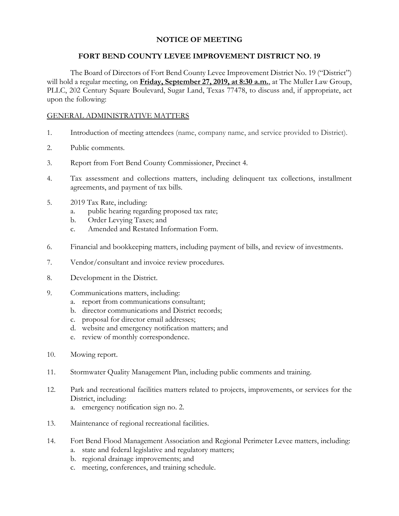# **NOTICE OF MEETING**

## **FORT BEND COUNTY LEVEE IMPROVEMENT DISTRICT NO. 19**

The Board of Directors of Fort Bend County Levee Improvement District No. 19 ("District") will hold a regular meeting, on **Friday, September 27, 2019, at 8:30 a.m.**, at The Muller Law Group, PLLC, 202 Century Square Boulevard, Sugar Land, Texas 77478, to discuss and, if appropriate, act upon the following:

## GENERAL ADMINISTRATIVE MATTERS

- 1. Introduction of meeting attendees (name, company name, and service provided to District).
- 2. Public comments.
- 3. Report from Fort Bend County Commissioner, Precinct 4.
- 4. Tax assessment and collections matters, including delinquent tax collections, installment agreements, and payment of tax bills.
- 5. 2019 Tax Rate, including:
	- a. public hearing regarding proposed tax rate;
	- b. Order Levying Taxes; and
	- c. Amended and Restated Information Form.
- 6. Financial and bookkeeping matters, including payment of bills, and review of investments.
- 7. Vendor/consultant and invoice review procedures.
- 8. Development in the District.
- 9. Communications matters, including:
	- a. report from communications consultant;
	- b. director communications and District records;
	- c. proposal for director email addresses;
	- d. website and emergency notification matters; and
	- e. review of monthly correspondence.
- 10. Mowing report.
- 11. Stormwater Quality Management Plan, including public comments and training.
- 12. Park and recreational facilities matters related to projects, improvements, or services for the District, including:
	- a. emergency notification sign no. 2.
- 13. Maintenance of regional recreational facilities.
- 14. Fort Bend Flood Management Association and Regional Perimeter Levee matters, including:
	- a. state and federal legislative and regulatory matters;
	- b. regional drainage improvements; and
	- c. meeting, conferences, and training schedule.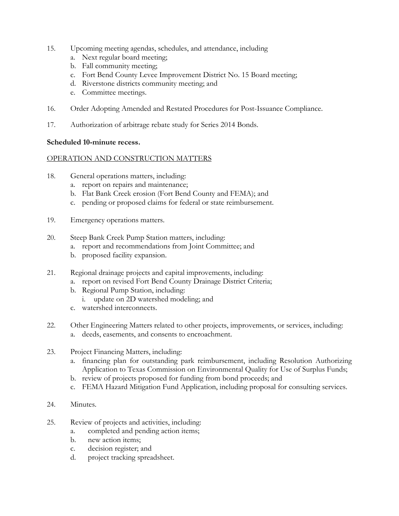- 15. Upcoming meeting agendas, schedules, and attendance, including
	- a. Next regular board meeting;
	- b. Fall community meeting;
	- c. Fort Bend County Levee Improvement District No. 15 Board meeting;
	- d. Riverstone districts community meeting; and
	- e. Committee meetings.
- 16. Order Adopting Amended and Restated Procedures for Post-Issuance Compliance.
- 17. Authorization of arbitrage rebate study for Series 2014 Bonds.

## **Scheduled 10-minute recess.**

## OPERATION AND CONSTRUCTION MATTERS

- 18. General operations matters, including:
	- a. report on repairs and maintenance;
	- b. Flat Bank Creek erosion (Fort Bend County and FEMA); and
	- c. pending or proposed claims for federal or state reimbursement.
- 19. Emergency operations matters.
- 20. Steep Bank Creek Pump Station matters, including:
	- a. report and recommendations from Joint Committee; and
	- b. proposed facility expansion.
- 21. Regional drainage projects and capital improvements, including:
	- a. report on revised Fort Bend County Drainage District Criteria;
	- b. Regional Pump Station, including:
		- i. update on 2D watershed modeling; and
	- c. watershed interconnects.
- 22. Other Engineering Matters related to other projects, improvements, or services, including: a. deeds, easements, and consents to encroachment.
- 23. Project Financing Matters, including:
	- a. financing plan for outstanding park reimbursement, including Resolution Authorizing Application to Texas Commission on Environmental Quality for Use of Surplus Funds;
	- b. review of projects proposed for funding from bond proceeds; and
	- c. FEMA Hazard Mitigation Fund Application, including proposal for consulting services.
- 24. Minutes.
- 25. Review of projects and activities, including:
	- a. completed and pending action items;
	- b. new action items;
	- c. decision register; and
	- d. project tracking spreadsheet.